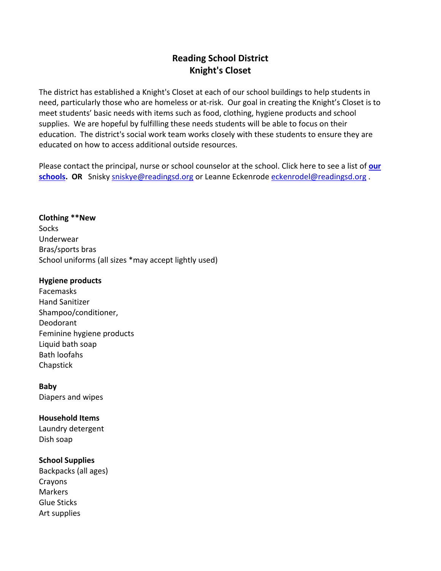# **Reading School District Knight's Closet**

The district has established a Knight's Closet at each of our school buildings to help students in need, particularly those who are homeless or at-risk. Our goal in creating the Knight's Closet is to meet students' basic needs with items such as food, clothing, hygiene products and school supplies. We are hopeful by fulfilling these needs students will be able to focus on their education. The district's social work team works closely with these students to ensure they are educated on how to access additional outside resources.

Please contact the principal, nurse or school counselor at the school. Click here to see a list of **[our](https://www.readingsd.org/domain/370)**  [schools.](https://www.readingsd.org/domain/370) OR Snisky [sniskye@readingsd.org](mailto:sniskye@readingsd.org) or Leanne Eckenrod[e eckenrodel@readingsd.org](mailto:eckenrodel@readingsd.org).

**Clothing \*\*New Socks** Underwear Bras/sports bras School uniforms (all sizes \*may accept lightly used)

### **Hygiene products**

Facemasks Hand Sanitizer Shampoo/conditioner, Deodorant Feminine hygiene products Liquid bath soap Bath loofahs Chapstick

**Baby**  Diapers and wipes

### **Household Items**

Laundry detergent Dish soap

### **School Supplies**

Backpacks (all ages) Crayons Markers Glue Sticks Art supplies